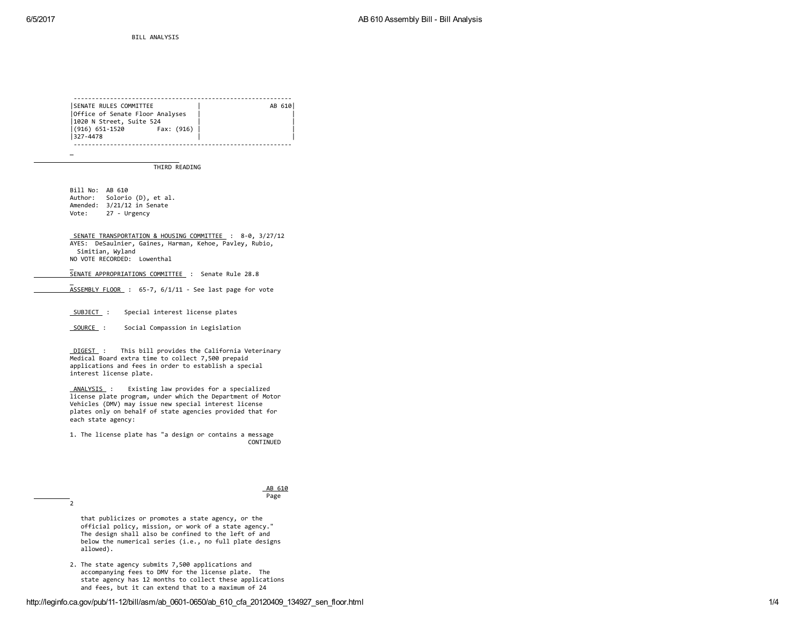$\overline{\phantom{a}}$ 

BILL ANALYSIS Ó

‐‐‐‐‐‐‐‐‐‐‐‐‐‐‐‐‐‐‐‐‐‐‐‐‐‐‐‐‐‐‐‐‐‐‐‐‐‐‐‐‐‐‐‐‐‐‐‐‐‐‐‐‐‐‐‐‐‐‐‐ | SENATE RULES COMMITTEE | AB 610| |Office of Senate Floor Analyses | | |1020 N Street, Suite 524 | |  $(916)$  651-1520 |327‐4478 | | ‐‐‐‐‐‐‐‐‐‐‐‐‐‐‐‐‐‐‐‐‐‐‐‐‐‐‐‐‐‐‐‐‐‐‐‐‐‐‐‐‐‐‐‐‐‐‐‐‐‐‐‐‐‐‐‐‐‐‐‐

THIRD READING

Bill No: AB 610 Author: Solorio (D), et al. Amended: 3/21/12 in Senate Vote: 27 ‐ Urgency

 $\overline{2}$ 

SENATE TRANSPORTATION & HOUSING COMMITTEE : 8‐0, 3/27/12 AYES: DeSaulnier, Gaines, Harman, Kehoe, Pavley, Rubio, Simitian, Wyland NO VOTE RECORDED: Lowenthal

SENATE APPROPRIATIONS COMMITTEE : Senate Rule 28.8

ASSEMBLY FLOOR : 65‐7, 6/1/11 ‐ See last page for vote

SUBJECT: Special interest license plates

SOURCE: Social Compassion in Legislation

DIGEST : This bill provides the California Veterinary Medical Board extra time to collect 7,500 prepaid applications and fees in order to establish a special interest license plate.

ANALYSIS : Existing law provides for a specialized license plate program, under which the Department of Motor Vehicles (DMV) may issue new special interest license plates only on behalf of state agencies provided that for each state agency:

1. The license plate has "a design or contains a message CONTINUED

## AB 610 Page

that publicizes or promotes a state agency, or the official policy, mission, or work of a state agency." The design shall also be confined to the left of and below the numerical series (i.e., no full plate designs allowed).

2. The state agency submits 7,500 applications and accompanying fees to DMV for the license plate. The state agency has 12 months to collect these applications and fees, but it can extend that to a maximum of 24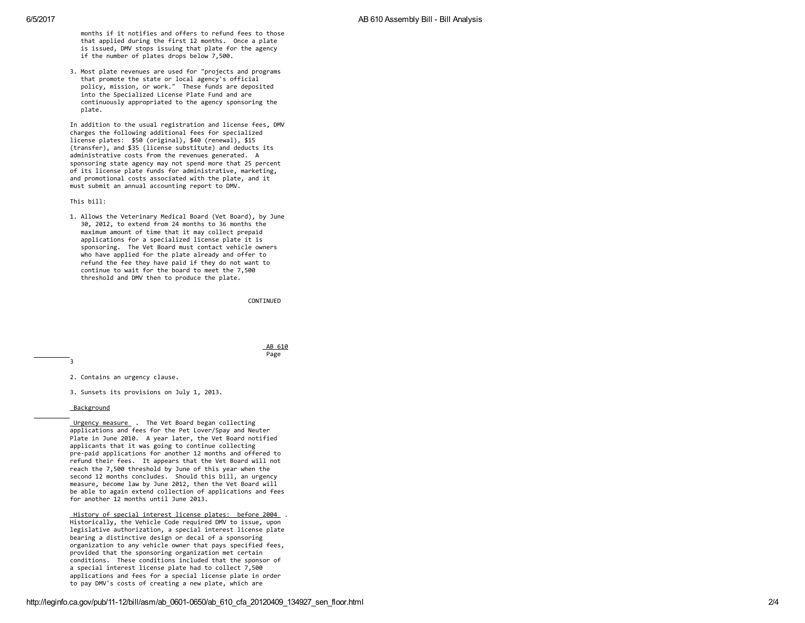months if it notifies and offers to refund fees to those that applied during the first 12 months. Once a plate is issued, DMV stops issuing that plate for the agency if the number of plates drops below 7,500.

3. Most plate revenues are used for "projects and programs that promote the state or local agency's official policy, mission, or work." These funds are deposited into the Specialized License Plate Fund and are continuously appropriated to the agency sponsoring the plate.

In addition to the usual registration and license fees, DMV charges the following additional fees for specialized license plates: \$50 (original), \$40 (renewal), \$15 (transfer), and \$35 (license substitute) and deducts its administrative costs from the revenues generated. A sponsoring state agency may not spend more that 25 percent of its license plate funds for administrative, marketing, and promotional costs associated with the plate, and it must submit an annual accounting report to DMV.

This bill:

1. Allows the Veterinary Medical Board (Vet Board), by June 30, 2012, to extend from 24 months to 36 months the maximum amount of time that it may collect prepaid applications for a specialized license plate it is sponsoring. The Vet Board must contact vehicle owners who have applied for the plate already and offer to refund the fee they have paid if they do not want to continue to wait for the board to meet the 7,500 threshold and DMV then to produce the plate.

CONTINUED

AB 610 P a g e

3<br>2. Contains an urgency clause.

3. Sunsets its provisions on July 1, 2013.

Background

Urgency measure . The Vet Board began collecting applications and fees for the Pet Lover/Spay and Neuter Plate in June 2010. A year later, the Vet Board notified applicants that it was going to continue collecting pre-paid applications for another 12 months and offered to refund their fees. It appears that the Vet Board will not reach the 7,500 threshold by June of this year when the second 12 months concludes. Should this bill, an urgency measure, become law by June 2012, then the Vet Board will be able to again extend collection of applications and fees for another 12 months until June 2013.

History of special interest license plates: before 2004 . Historically, the Vehicle Code required DMV to issue, upon legislative authorization, a special interest license plate bearing a distinctive design or decal of a sponsoring organization to any vehicle owner that pays specified fees, provided that the sponsoring organization met certain conditions. These conditions included that the sponsor of a special interest license plate had to collect 7,500 applications and fees for a special license plate in order to pay DMV's costs of creating a new plate, which are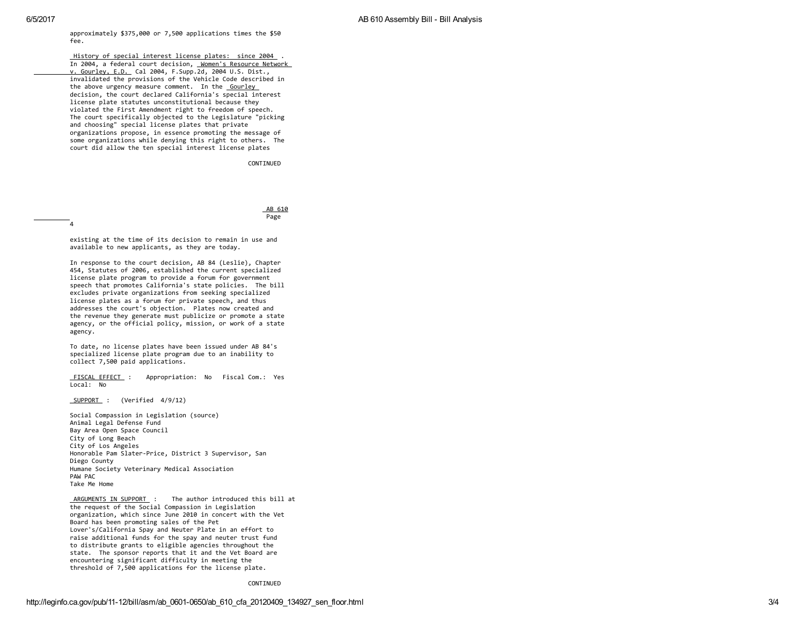approximately \$375,000 or 7,500 applications times the \$50 f e e.

History of special interest license plates: since 2004 . In 2004, a federal court decision, Women's Resource Network <u>v. Gourley, E.D.</u> Cal 2004, F.Supp.2d, 2004 U.S. Dist., invalidated the provisions of the Vehicle Code described in the above urgency measure comment. In the **Gourley** decision, the court declared California's special interest license plate statutes unconstitutional because they violated the First Amendment right to freedom of speech. The court specifically objected to the Legislature "picking and choosing" special license plates that private organizations propose, in essence promoting the message of some organizations while denying this right to others. The court did allow the ten special interest license plates

CONTINUED

AB 610 P a g e

4<br>existing at the time of its decision to remain in use and available to new applicants, as they are today.

In response to the court decision, AB 84 (Leslie), Chapter 454, Statutes of 2006, established the current specialized license plate program to provide a forum for government speech that promotes California's state policies. The bill excludes private organizations from seeking specialized license plates as a forum for private speech, and thus addresses the court's objection. Plates now created and the revenue they generate must publicize or promote a state agency, or the official policy, mission, or work of a state a g e n c y.

To date, no license plates have been issued under AB 84's specialized license plate program due to an inability to collect 7,500 paid applications.

FISCAL EFFECT : Appropriation: No Fiscal Com.: Yes Local: No

SUPPORT : (Verified 4/9/12)

Social Compassion in Legislation (source) Animal Legal Defense Fund Bay Area Open Space Council City of Long Beach City of Los Angeles Honorable Pam Slater-Price, District 3 Supervisor, San Diego County Humane Society Veterinary Medical Association P A W P A C Take Me Home

ARGUMENTS IN SUPPORT : The author introduced this bill at the request of the Social Compassion in Legislation organization, which since June 2010 in concert with the Vet Board has been promoting sales of the Pet Lover's/California Spay and Neuter Plate in an effort to raise additional funds for the spay and neuter trust fund to distribute grants to eligible agencies throughout the state. The sponsor reports that it and the Vet Board are encountering significant difficulty in meeting the threshold of 7,500 applications for the license plate.

CONTINUED